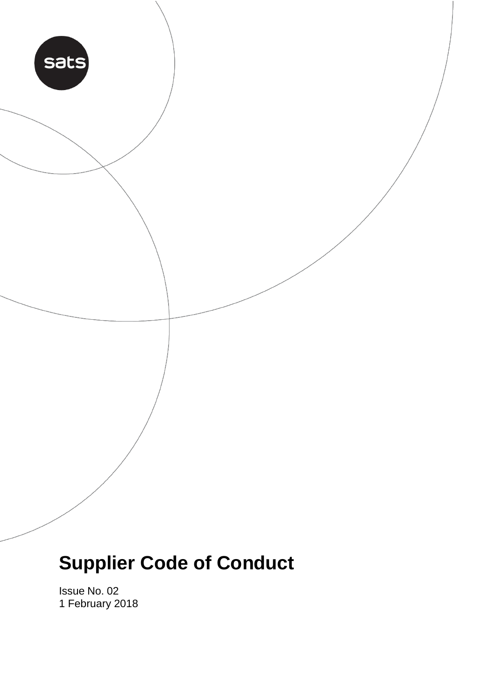# sats

# **Supplier Code of Conduct**

Issue No. 02 1 February 2018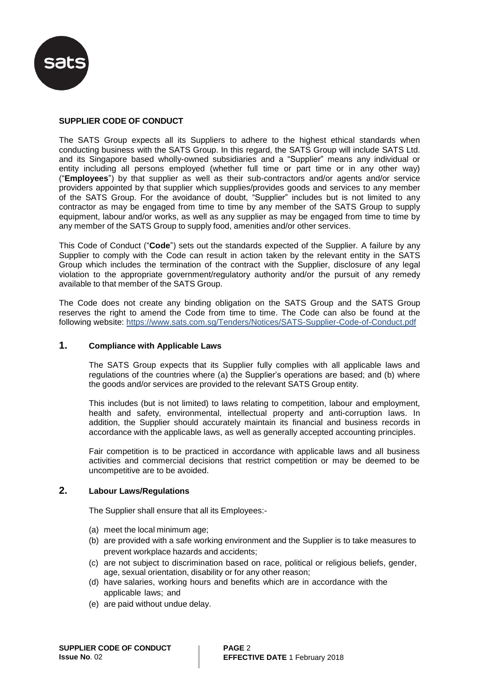

### **SUPPLIER CODE OF CONDUCT**

The SATS Group expects all its Suppliers to adhere to the highest ethical standards when conducting business with the SATS Group. In this regard, the SATS Group will include SATS Ltd. and its Singapore based wholly-owned subsidiaries and a "Supplier" means any individual or entity including all persons employed (whether full time or part time or in any other way) ("**Employees**") by that supplier as well as their sub-contractors and/or agents and/or service providers appointed by that supplier which supplies/provides goods and services to any member of the SATS Group. For the avoidance of doubt, "Supplier" includes but is not limited to any contractor as may be engaged from time to time by any member of the SATS Group to supply equipment, labour and/or works, as well as any supplier as may be engaged from time to time by any member of the SATS Group to supply food, amenities and/or other services.

This Code of Conduct ("**Code**") sets out the standards expected of the Supplier. A failure by any Supplier to comply with the Code can result in action taken by the relevant entity in the SATS Group which includes the termination of the contract with the Supplier, disclosure of any legal violation to the appropriate government/regulatory authority and/or the pursuit of any remedy available to that member of the SATS Group.

The Code does not create any binding obligation on the SATS Group and the SATS Group reserves the right to amend the Code from time to time. The Code can also be found at the following website: https://www.sats.com.sg/Tenders/Notices/SATS-Supplier-Code-of-Conduct.pdf

### **1. Compliance with Applicable Laws**

The SATS Group expects that its Supplier fully complies with all applicable laws and regulations of the countries where (a) the Supplier's operations are based; and (b) where the goods and/or services are provided to the relevant SATS Group entity.

This includes (but is not limited) to laws relating to competition, labour and employment, health and safety, environmental, intellectual property and anti-corruption laws. In addition, the Supplier should accurately maintain its financial and business records in accordance with the applicable laws, as well as generally accepted accounting principles.

Fair competition is to be practiced in accordance with applicable laws and all business activities and commercial decisions that restrict competition or may be deemed to be uncompetitive are to be avoided.

### **2. Labour Laws/Regulations**

The Supplier shall ensure that all its Employees:-

- (a) meet the local minimum age;
- (b) are provided with a safe working environment and the Supplier is to take measures to prevent workplace hazards and accidents;
- (c) are not subject to discrimination based on race, political or religious beliefs, gender, age, sexual orientation, disability or for any other reason;
- (d) have salaries, working hours and benefits which are in accordance with the applicable laws; and
- (e) are paid without undue delay.

**PAGE** 2 **EFFECTIVE DATE** 1 February 2018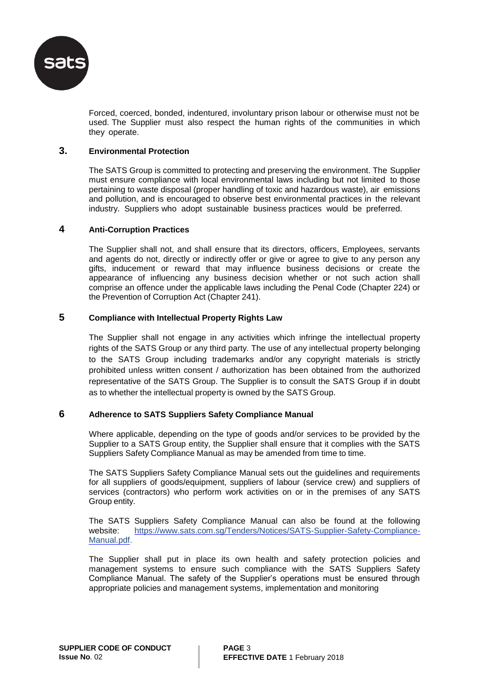

Forced, coerced, bonded, indentured, involuntary prison labour or otherwise must not be used. The Supplier must also respect the human rights of the communities in which they operate.

### **3. Environmental Protection**

The SATS Group is committed to protecting and preserving the environment. The Supplier must ensure compliance with local environmental laws including but not limited to those pertaining to waste disposal (proper handling of toxic and hazardous waste), air emissions and pollution, and is encouraged to observe best environmental practices in the relevant industry. Suppliers who adopt sustainable business practices would be preferred.

### **4 Anti-Corruption Practices**

The Supplier shall not, and shall ensure that its directors, officers, Employees, servants and agents do not, directly or indirectly offer or give or agree to give to any person any gifts, inducement or reward that may influence business decisions or create the appearance of influencing any business decision whether or not such action shall comprise an offence under the applicable laws including the Penal Code (Chapter 224) or the Prevention of Corruption Act (Chapter 241).

### **5 Compliance with Intellectual Property Rights Law**

The Supplier shall not engage in any activities which infringe the intellectual property rights of the SATS Group or any third party. The use of any intellectual property belonging to the SATS Group including trademarks and/or any copyright materials is strictly prohibited unless written consent / authorization has been obtained from the authorized representative of the SATS Group. The Supplier is to consult the SATS Group if in doubt as to whether the intellectual property is owned by the SATS Group.

### **6 Adherence to SATS Suppliers Safety Compliance Manual**

Where applicable, depending on the type of goods and/or services to be provided by the Supplier to a SATS Group entity, the Supplier shall ensure that it complies with the SATS Suppliers Safety Compliance Manual as may be amended from time to time.

The SATS Suppliers Safety Compliance Manual sets out the guidelines and requirements for all suppliers of goods/equipment, suppliers of labour (service crew) and suppliers of services (contractors) who perform work activities on or in the premises of any SATS Group entity.

The SATS Suppliers Safety Compliance Manual can also be found at the following website: [https://www.sats.com.sg/Tenders/Notices/SATS-Supplier-Safety-Compliance-](https://www.sats.com.sg/Tenders/Notices/SATS-Supplier-Safety-Compliance-Manual.pdf)[Manual.pdf.](https://www.sats.com.sg/Tenders/Notices/SATS-Supplier-Safety-Compliance-Manual.pdf)

The Supplier shall put in place its own health and safety protection policies and management systems to ensure such compliance with the SATS Suppliers Safety Compliance Manual. The safety of the Supplier's operations must be ensured through appropriate policies and management systems, implementation and monitoring